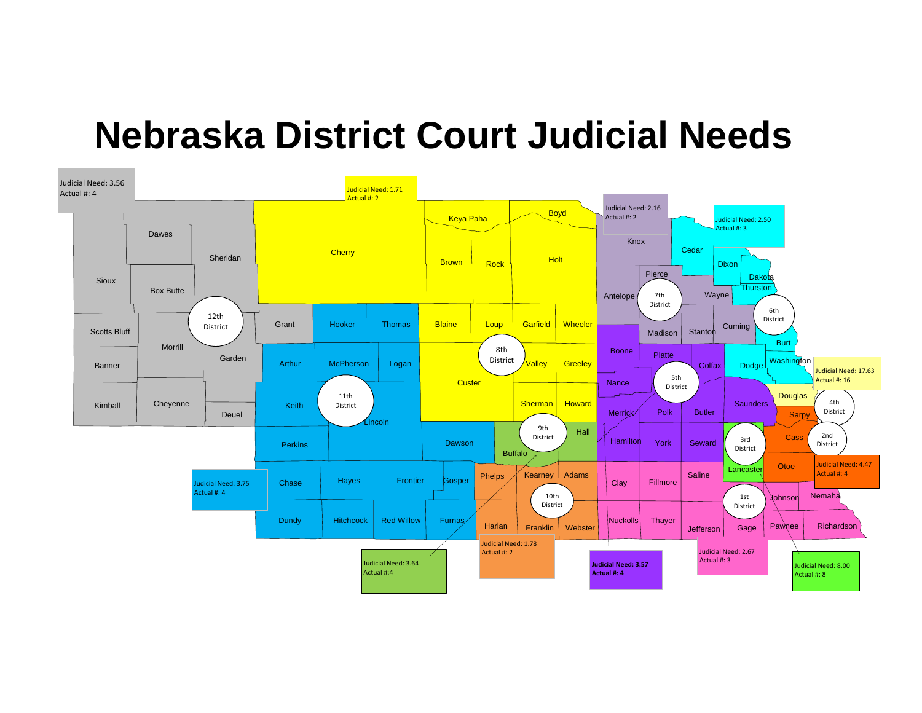# **Nebraska District Court Judicial Needs**

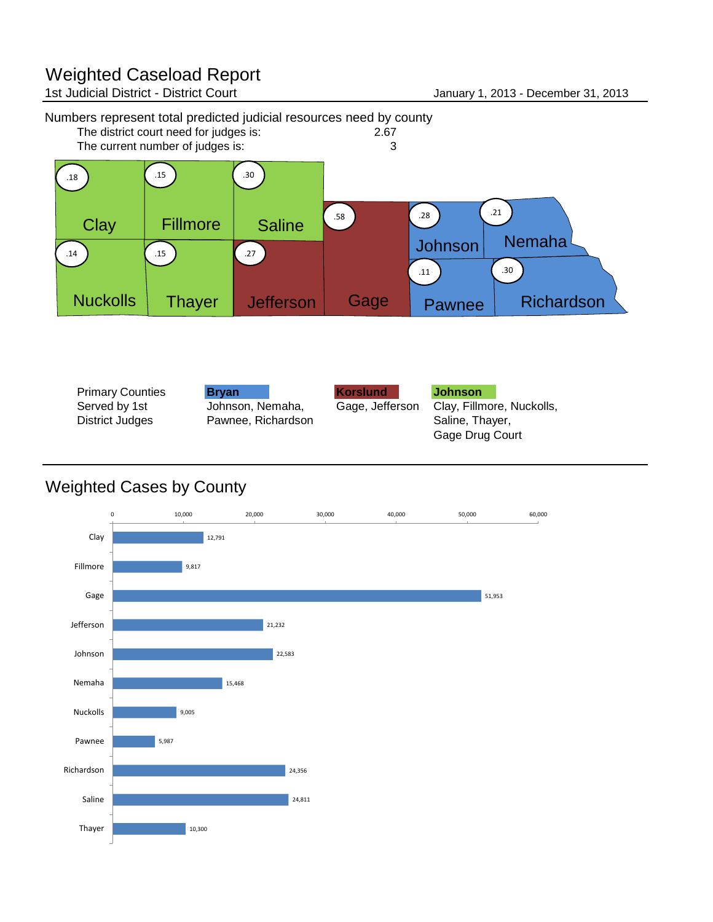# Weighted Caseload Report<br>1st Judicial District - District Court

January 1, 2013 - December 31, 2013





| <b>Primary Counties</b><br>Served by 1st<br>District Judges | <b>Brvan</b><br>Johnson, Nemaha,<br>Pawnee, Richardson | <b>Korslund</b><br>Gage, Jefferson | <b>Johnson</b><br>Clay, Fillmore, Nuckolls,<br>Saline, Thayer, |
|-------------------------------------------------------------|--------------------------------------------------------|------------------------------------|----------------------------------------------------------------|
|                                                             |                                                        |                                    | Gage Drug Court                                                |

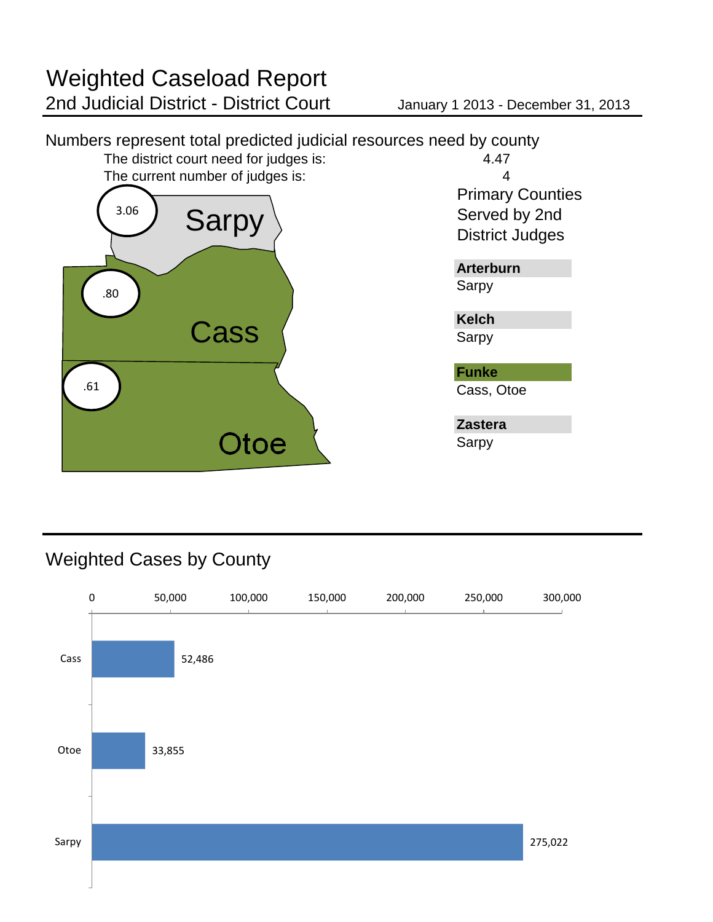

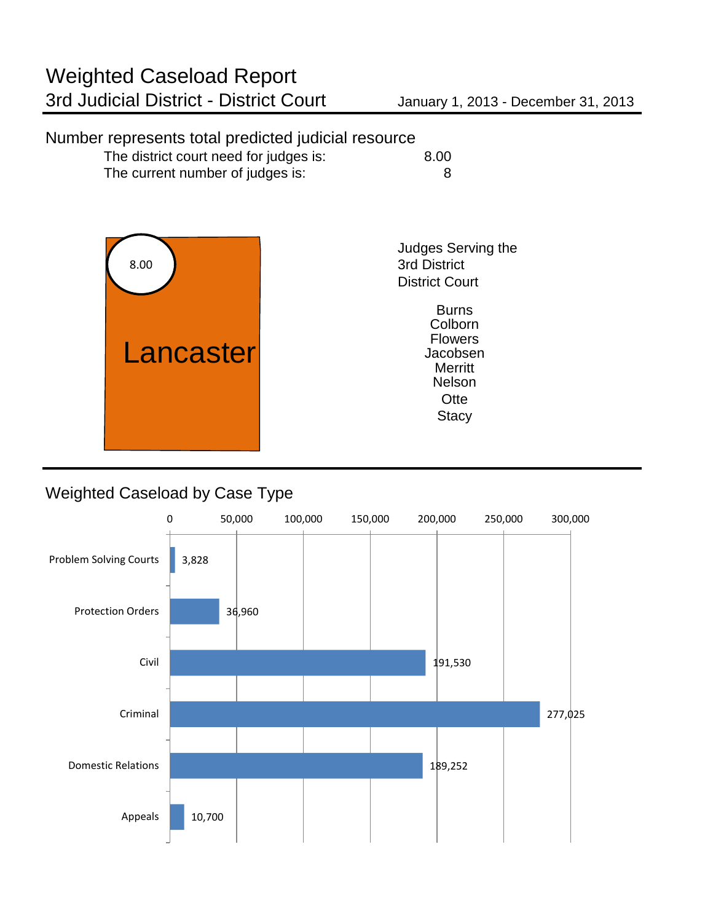# Number represents total predicted judicial resource

| The district court need for judges is: | 8.00 |
|----------------------------------------|------|
| The current number of judges is:       |      |



Judges Serving the 3rd District District Court

> **Stacy Otte** Nelson **Burns** Colborn Flowers Jacobsen

# Weighted Caseload by Case Type

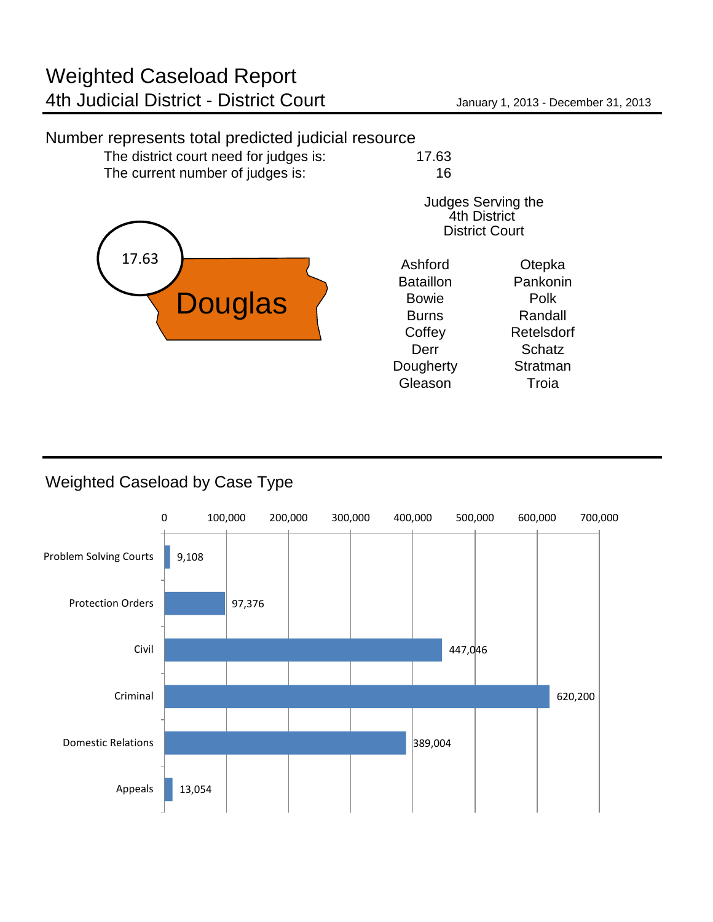## Number represents total predicted judicial resource

The district court need for judges is: 17.63 The current number of judges is: 16



| Judges Serving the    |
|-----------------------|
| <b>4th District</b>   |
| <b>District Court</b> |

| Ashford          | Otepka     |
|------------------|------------|
| <b>Bataillon</b> | Pankonin   |
| <b>Bowie</b>     | Polk       |
| <b>Burns</b>     | Randall    |
| Coffey           | Retelsdorf |
| Derr             | Schatz     |
| Dougherty        | Stratman   |
| Gleason          | Troia      |
|                  |            |

# Weighted Caseload by Case Type

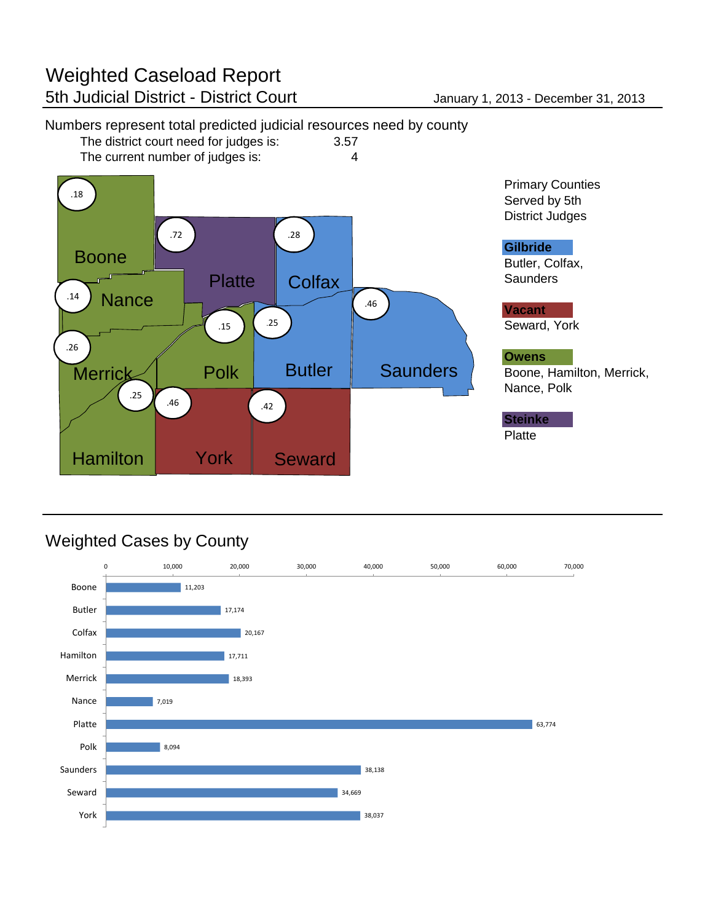

# Numbers represent total predicted judicial resources need by county<br>The district court need for judges is: 3.57

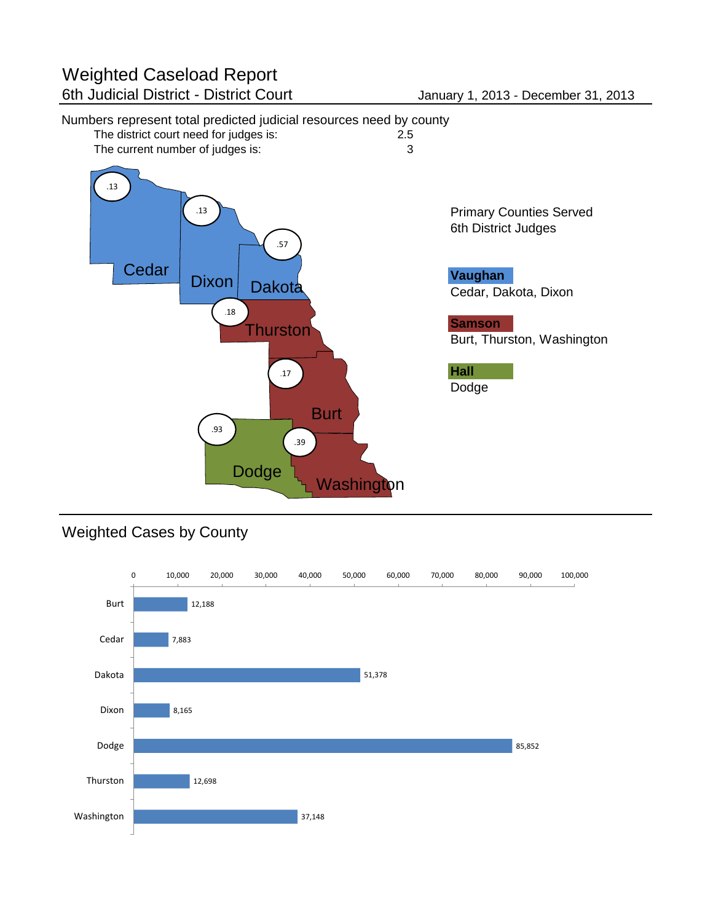# Numbers represent total predicted judicial resources need by county<br>The district court need for judges is: 2.5



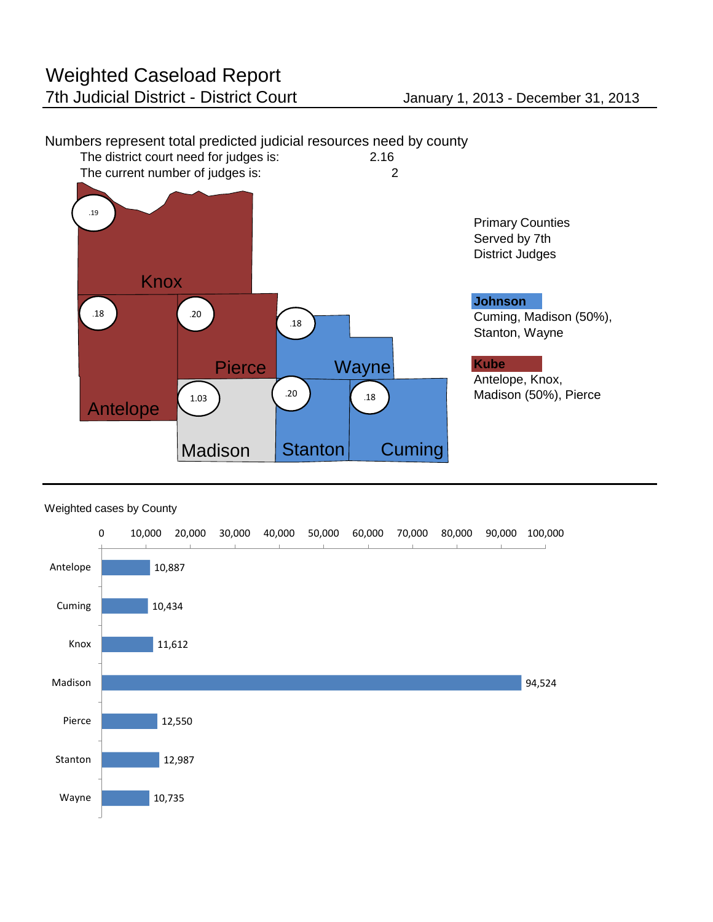

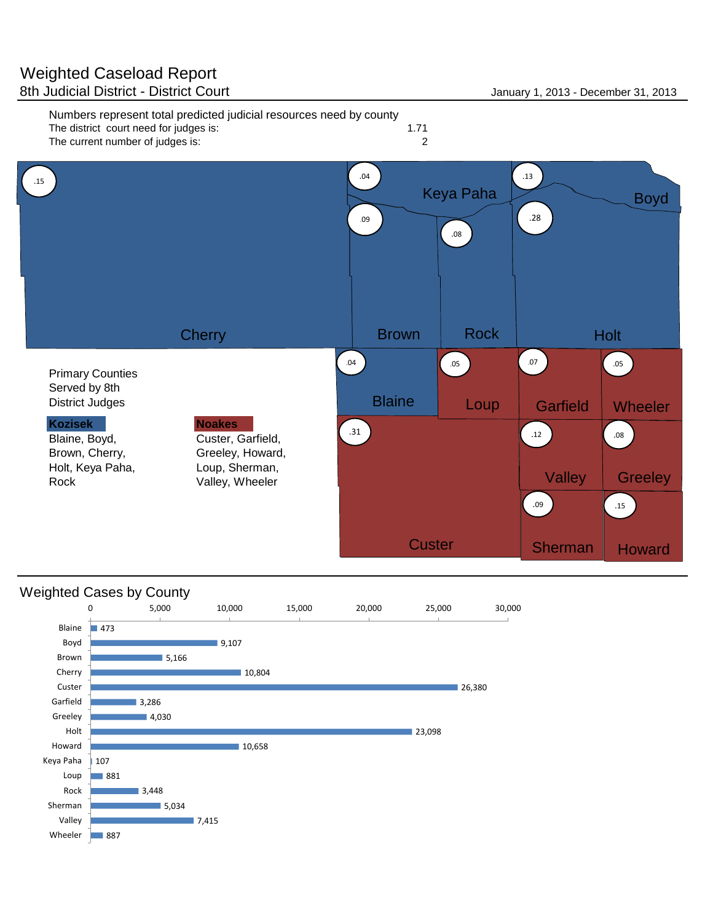

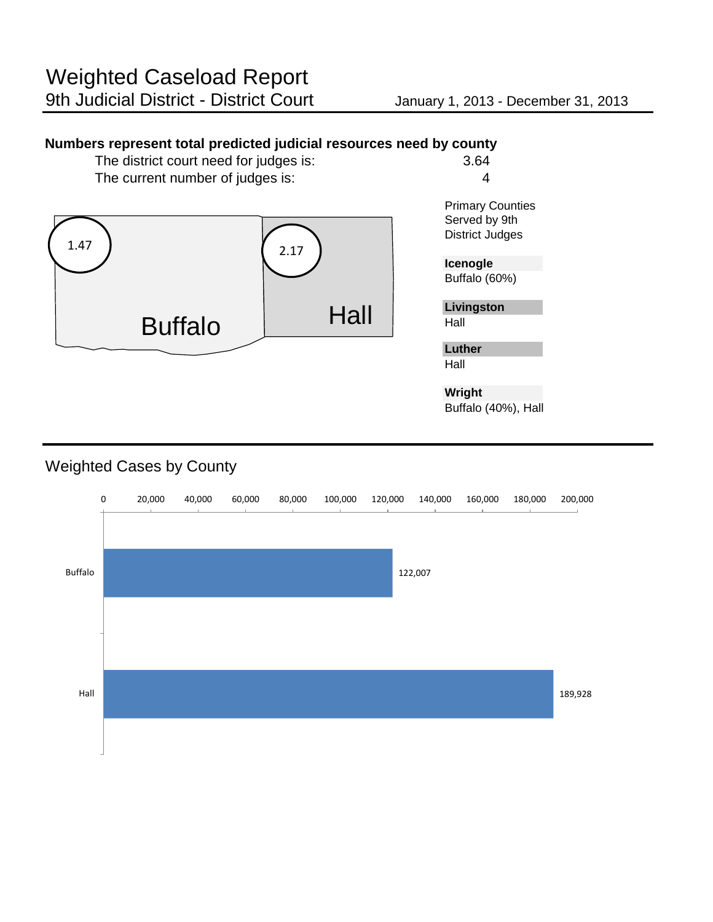### **Numbers represent total predicted judicial resources need by county**

The district court need for judges is: 3.64 The current number of judges is: 4



**Wright** Buffalo (40%), Hall

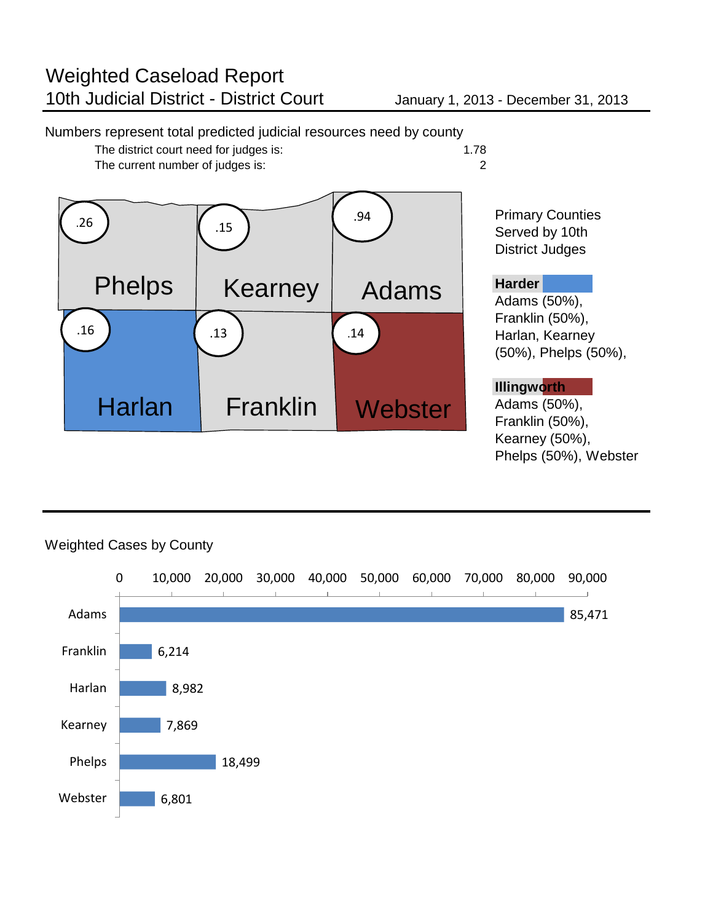### Numbers represent total predicted judicial resources need by county The district court need for judges is: 1.78<br>The current number of judges is: 2 The current number of judges is: Primary Counties Served by 10th District Judges **Harder** Adams (50%), Franklin (50%), Harlan, Kearney (50%), Phelps (50%), **Illingworth** Adams (50%), Franklin (50%), Kearney (50%), Phelps (50%), Webster Adams Harlan Franklin Phelps | Kearney **Webster**  $.26$  ) ( .15 .94 .16 **.** 13 **.** 13 **.** 14

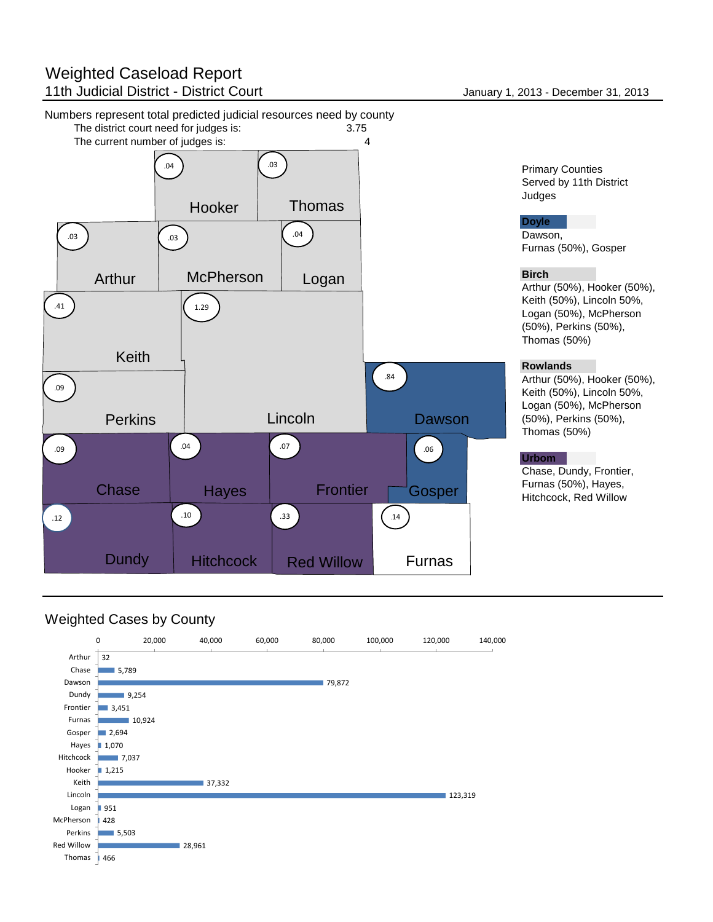# Weighted Caseload Report 11th Judicial District - District Court **January 1, 2013** - December 31, 2013